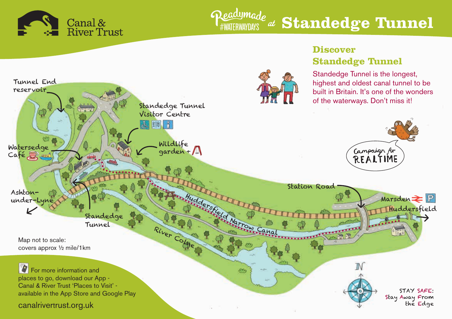

## Peadymade **Standedge Tunnel**  at